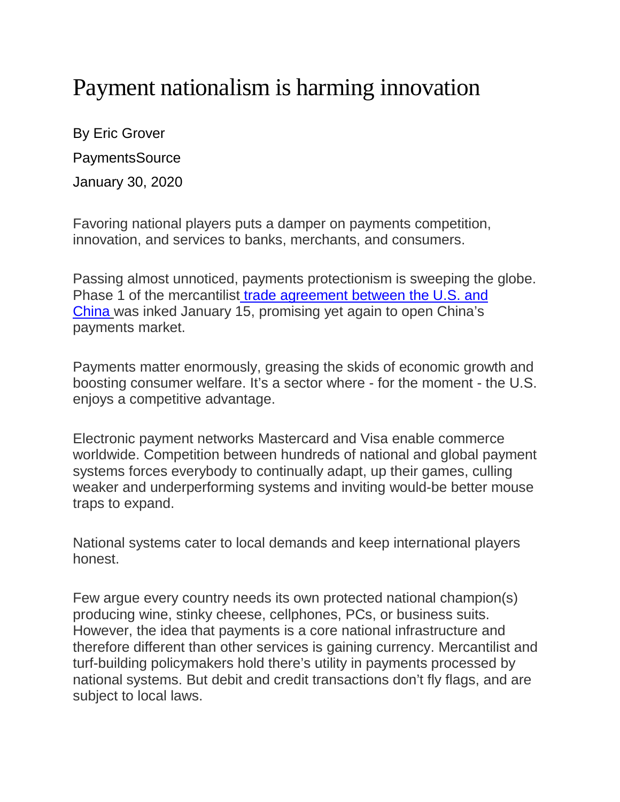## Payment nationalism is harming innovation

By Eric Grover PaymentsSource January 30, 2020

Favoring national players puts a damper on payments competition, innovation, and services to banks, merchants, and consumers.

Passing almost unnoticed, payments protectionism is sweeping the globe. Phase 1 of the mercantilist [trade agreement between the U.S. and](https://ustr.gov/sites/default/files/files/agreements/phase%20one%20agreement/Economic_And_Trade_Agreement_Between_The_United_States_And_China_Text.pdf)  [China](https://ustr.gov/sites/default/files/files/agreements/phase%20one%20agreement/Economic_And_Trade_Agreement_Between_The_United_States_And_China_Text.pdf) was inked January 15, promising yet again to open China's payments market.

Payments matter enormously, greasing the skids of economic growth and boosting consumer welfare. It's a sector where - for the moment - the U.S. enjoys a competitive advantage.

Electronic payment networks Mastercard and Visa enable commerce worldwide. Competition between hundreds of national and global payment systems forces everybody to continually adapt, up their games, culling weaker and underperforming systems and inviting would-be better mouse traps to expand.

National systems cater to local demands and keep international players honest.

Few argue every country needs its own protected national champion(s) producing wine, stinky cheese, cellphones, PCs, or business suits. However, the idea that payments is a core national infrastructure and therefore different than other services is gaining currency. Mercantilist and turf-building policymakers hold there's utility in payments processed by national systems. But debit and credit transactions don't fly flags, and are subject to local laws.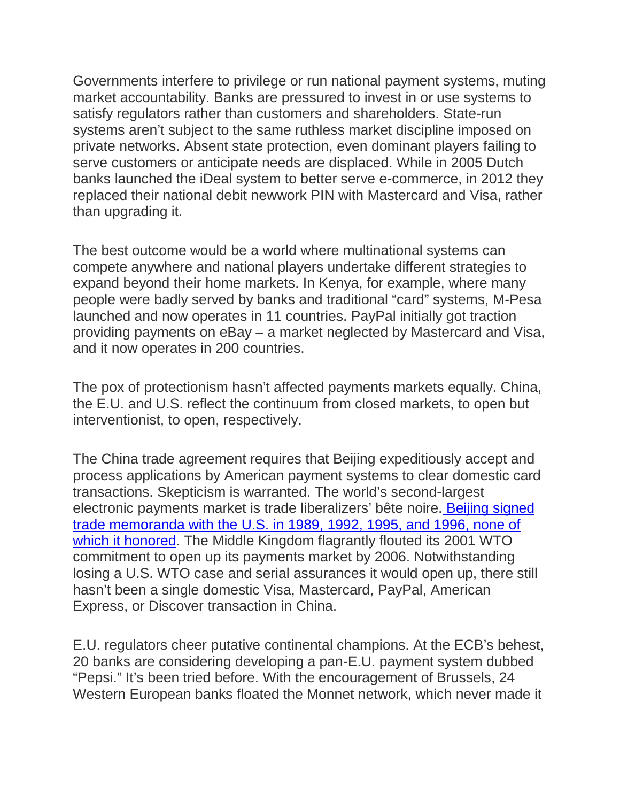Governments interfere to privilege or run national payment systems, muting market accountability. Banks are pressured to invest in or use systems to satisfy regulators rather than customers and shareholders. State-run systems aren't subject to the same ruthless market discipline imposed on private networks. Absent state protection, even dominant players failing to serve customers or anticipate needs are displaced. While in 2005 Dutch banks launched the iDeal system to better serve e-commerce, in 2012 they replaced their national debit newwork PIN with Mastercard and Visa, rather than upgrading it.

The best outcome would be a world where multinational systems can compete anywhere and national players undertake different strategies to expand beyond their home markets. In Kenya, for example, where many people were badly served by banks and traditional "card" systems, M-Pesa launched and now operates in 11 countries. PayPal initially got traction providing payments on eBay – a market neglected by Mastercard and Visa, and it now operates in 200 countries.

The pox of protectionism hasn't affected payments markets equally. China, the E.U. and U.S. reflect the continuum from closed markets, to open but interventionist, to open, respectively.

The China trade agreement requires that Beijing expeditiously accept and process applications by American payment systems to clear domestic card transactions. Skepticism is warranted. The world's second-largest electronic payments market is trade liberalizers' bête noire. [Beijing signed](https://www.nationalreview.com/2020/01/on-china-pinholes-and-pinpricks/)  [trade memoranda with the U.S. in 1989, 1992, 1995, and 1996, none of](https://www.nationalreview.com/2020/01/on-china-pinholes-and-pinpricks/)  [which it honored.](https://www.nationalreview.com/2020/01/on-china-pinholes-and-pinpricks/) The Middle Kingdom flagrantly flouted its 2001 WTO commitment to open up its payments market by 2006. Notwithstanding losing a U.S. WTO case and serial assurances it would open up, there still hasn't been a single domestic Visa, Mastercard, PayPal, American Express, or Discover transaction in China.

E.U. regulators cheer putative continental champions. At the ECB's behest, 20 banks are considering developing a pan-E.U. payment system dubbed "Pepsi." It's been tried before. With the encouragement of Brussels, 24 Western European banks floated the Monnet network, which never made it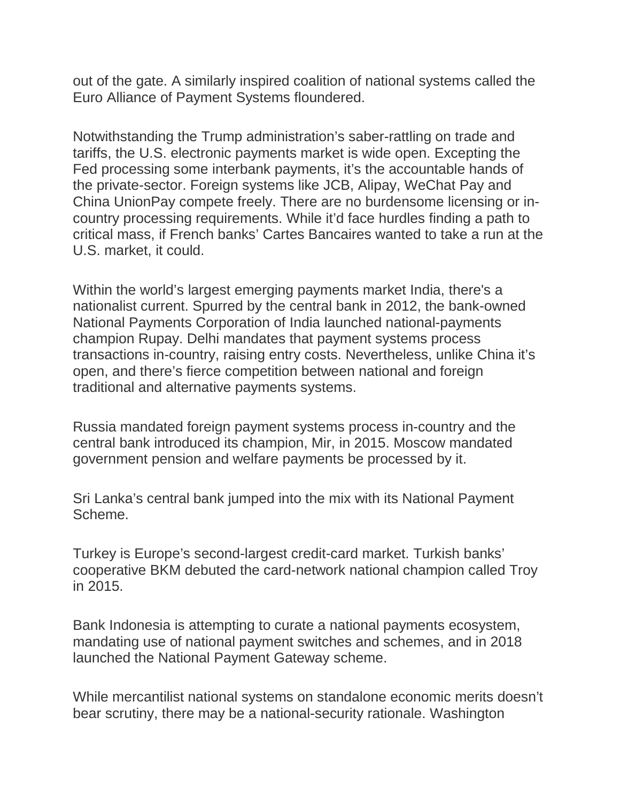out of the gate. A similarly inspired coalition of national systems called the Euro Alliance of Payment Systems floundered.

Notwithstanding the Trump administration's saber-rattling on trade and tariffs, the U.S. electronic payments market is wide open. Excepting the Fed processing some interbank payments, it's the accountable hands of the private-sector. Foreign systems like JCB, Alipay, WeChat Pay and China UnionPay compete freely. There are no burdensome licensing or incountry processing requirements. While it'd face hurdles finding a path to critical mass, if French banks' Cartes Bancaires wanted to take a run at the U.S. market, it could.

Within the world's largest emerging payments market India, there's a nationalist current. Spurred by the central bank in 2012, the bank-owned National Payments Corporation of India launched national-payments champion Rupay. Delhi mandates that payment systems process transactions in-country, raising entry costs. Nevertheless, unlike China it's open, and there's fierce competition between national and foreign traditional and alternative payments systems.

Russia mandated foreign payment systems process in-country and the central bank introduced its champion, Mir, in 2015. Moscow mandated government pension and welfare payments be processed by it.

Sri Lanka's central bank jumped into the mix with its National Payment Scheme.

Turkey is Europe's second-largest credit-card market. Turkish banks' cooperative BKM debuted the card-network national champion called Troy in 2015.

Bank Indonesia is attempting to curate a national payments ecosystem, mandating use of national payment switches and schemes, and in 2018 launched the National Payment Gateway scheme.

While mercantilist national systems on standalone economic merits doesn't bear scrutiny, there may be a national-security rationale. Washington